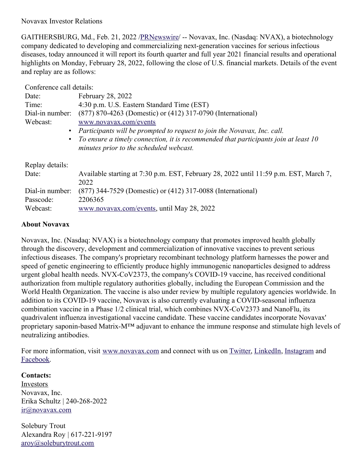Novavax Investor Relations

GAITHERSBURG, Md., Feb. 21, 2022 [/PRNewswire](http://www.prnewswire.com/)/ -- Novavax, Inc. (Nasdaq: NVAX), a biotechnology company dedicated to developing and commercializing next-generation vaccines for serious infectious diseases, today announced it will report its fourth quarter and full year 2021 financial results and operational highlights on Monday, February 28, 2022, following the close of U.S. financial markets. Details of the event and replay are as follows:

Conference call details:

| Date:           | <b>February 28, 2022</b>                                                              |
|-----------------|---------------------------------------------------------------------------------------|
| Time:           | 4:30 p.m. U.S. Eastern Standard Time (EST)                                            |
| Dial-in number: | (877) 870-4263 (Domestic) or (412) 317-0790 (International)                           |
| Webcast:        | www.novavax.com/events                                                                |
| $\bullet$       | Participants will be prompted to request to join the Novavax, Inc. call.              |
| $\bullet$       | To ensure a timely connection, it is recommended that participants join at least 10   |
|                 | minutes prior to the scheduled webcast.                                               |
| Replay details: |                                                                                       |
| Date:           | Available starting at 7:30 p.m. EST, February 28, 2022 until 11:59 p.m. EST, March 7, |
|                 | 2022                                                                                  |
| Dial-in number: | (877) 344-7529 (Domestic) or (412) 317-0088 (International)                           |
| Passcode:       | 2206365                                                                               |
| Webcast:        | www.novavax.com/events, until May 28, 2022                                            |

## **About Novavax**

Novavax, Inc. (Nasdaq: NVAX) is a biotechnology company that promotes improved health globally through the discovery, development and commercialization of innovative vaccines to prevent serious infectious diseases. The company's proprietary recombinant technology platform harnesses the power and speed of genetic engineering to efficiently produce highly immunogenic nanoparticles designed to address urgent global health needs. NVX-CoV2373, the company's COVID-19 vaccine, has received conditional authorization from multiple regulatory authorities globally, including the European Commission and the World Health Organization. The vaccine is also under review by multiple regulatory agencies worldwide. In addition to its COVID-19 vaccine, Novavax is also currently evaluating a COVID-seasonal influenza combination vaccine in a Phase 1/2 clinical trial, which combines NVX-CoV2373 and NanoFlu, its quadrivalent influenza investigational vaccine candidate. These vaccine candidates incorporate Novavax' proprietary saponin-based Matrix-M™ adjuvant to enhance the immune response and stimulate high levels of neutralizing antibodies.

For more information, visit [www.novavax.com](https://c212.net/c/link/?t=0&l=en&o=3450311-1&h=1993426503&u=https%3A%2F%2Fc212.net%2Fc%2Flink%2F%3Ft%3D0%26l%3Den%26o%3D3440781-1%26h%3D3964594936%26u%3Dhttps%253A%252F%252Fc212.net%252Fc%252Flink%252F%253Ft%253D0%2526l%253Den%2526o%253D3395501-1%2526h%253D2463599076%2526u%253Dhttps%25253A%25252F%25252Fc212.net%25252Fc%25252Flink%25252F%25253Ft%25253D0%252526l%25253Den%252526o%25253D3392093-1%252526h%25253D203886192%252526u%25253Dhttps%2525253A%2525252F%2525252Fc212.net%2525252Fc%2525252Flink%2525252F%2525253Ft%2525253D0%25252526l%2525253Den%25252526o%2525253D3387216-1%25252526h%2525253D3917401194%25252526u%2525253Dhttps%252525253A%252525252F%252525252Fc212.net%252525252Fc%252525252Flink%252525252F%252525253Ft%252525253D0%2525252526l%252525253Den%2525252526o%252525253D3260461-1%2525252526h%252525253D2897486098%2525252526u%252525253Dhttp%25252525253A%25252525252F%25252525252Fwww.novavax.com%25252525252F%2525252526a%252525253Dwww.novavax.com%25252526a%2525253Dwww.novavax.com%252526a%25253Dwww.novavax.com%2526a%253Dwww.novavax.com%26a%3Dwww.novavax.com&a=www.novavax.com) and connect with us on [Twitter](https://c212.net/c/link/?t=0&l=en&o=3450311-1&h=1853862371&u=https%3A%2F%2Fc212.net%2Fc%2Flink%2F%3Ft%3D0%26l%3Den%26o%3D3440781-1%26h%3D105479535%26u%3Dhttps%253A%252F%252Fc212.net%252Fc%252Flink%252F%253Ft%253D0%2526l%253Den%2526o%253D3395501-1%2526h%253D4221703946%2526u%253Dhttps%25253A%25252F%25252Fc212.net%25252Fc%25252Flink%25252F%25253Ft%25253D0%252526l%25253Den%252526o%25253D3392093-1%252526h%25253D1222342448%252526u%25253Dhttps%2525253A%2525252F%2525252Fc212.net%2525252Fc%2525252Flink%2525252F%2525253Ft%2525253D0%25252526l%2525253Den%25252526o%2525253D3387216-1%25252526h%2525253D3606837610%25252526u%2525253Dhttps%252525253A%252525252F%252525252Fc212.net%252525252Fc%252525252Flink%252525252F%252525253Ft%252525253D0%2525252526l%252525253Den%2525252526o%252525253D3260461-1%2525252526h%252525253D1316526774%2525252526u%252525253Dhttps%25252525253A%25252525252F%25252525252Fc212.net%25252525252Fc%25252525252Flink%25252525252F%25252525253Ft%25252525253D0%252525252526l%25252525253Den%252525252526o%25252525253D3158017-1%252525252526h%25252525253D500821283%252525252526u%25252525253Dhttps%2525252525253A%2525252525252F%2525252525252Ftwitter.com%2525252525252FNovavax%252525252526a%25252525253DTwitter%2525252526a%252525253DTwitter%25252526a%2525253DTwitter%252526a%25253DTwitter%2526a%253DTwitter%26a%3DTwitter&a=Twitter), [LinkedIn](https://c212.net/c/link/?t=0&l=en&o=3450311-1&h=713537813&u=https%3A%2F%2Fc212.net%2Fc%2Flink%2F%3Ft%3D0%26l%3Den%26o%3D3440781-1%26h%3D2733326919%26u%3Dhttps%253A%252F%252Fc212.net%252Fc%252Flink%252F%253Ft%253D0%2526l%253Den%2526o%253D3395501-1%2526h%253D853375093%2526u%253Dhttps%25253A%25252F%25252Fc212.net%25252Fc%25252Flink%25252F%25253Ft%25253D0%252526l%25253Den%252526o%25253D3392093-1%252526h%25253D1325598136%252526u%25253Dhttps%2525253A%2525252F%2525252Fc212.net%2525252Fc%2525252Flink%2525252F%2525253Ft%2525253D0%25252526l%2525253Den%25252526o%2525253D3387216-1%25252526h%2525253D2935962557%25252526u%2525253Dhttps%252525253A%252525252F%252525252Fc212.net%252525252Fc%252525252Flink%252525252F%252525253Ft%252525253D0%2525252526l%252525253Den%2525252526o%252525253D3260461-1%2525252526h%252525253D1508558197%2525252526u%252525253Dhttps%25252525253A%25252525252F%25252525252Fc212.net%25252525252Fc%25252525252Flink%25252525252F%25252525253Ft%25252525253D0%252525252526l%25252525253Den%252525252526o%25252525253D3158017-1%252525252526h%25252525253D3702938248%252525252526u%25252525253Dhttps%2525252525253A%2525252525252F%2525252525252Fwww.linkedin.com%2525252525252Fcompany%2525252525252Fnovavax%2525252525252F%252525252526a%25252525253DLinkedIn%2525252526a%252525253DLinkedIn%25252526a%2525253DLinkedIn%252526a%25253DLinkedIn%2526a%253DLinkedIn%26a%3DLinkedIn&a=LinkedIn), [Instagram](https://c212.net/c/link/?t=0&l=en&o=3450311-1&h=2159357963&u=https%3A%2F%2Fc212.net%2Fc%2Flink%2F%3Ft%3D0%26l%3Den%26o%3D3440781-1%26h%3D1486889287%26u%3Dhttps%253A%252F%252Fc212.net%252Fc%252Flink%252F%253Ft%253D0%2526l%253Den%2526o%253D3395501-1%2526h%253D3574403071%2526u%253Dhttps%25253A%25252F%25252Fc212.net%25252Fc%25252Flink%25252F%25253Ft%25253D0%252526l%25253Den%252526o%25253D3392093-1%252526h%25253D64626343%252526u%25253Dhttps%2525253A%2525252F%2525252Fc212.net%2525252Fc%2525252Flink%2525252F%2525253Ft%2525253D0%25252526l%2525253Den%25252526o%2525253D3387216-1%25252526h%2525253D844488893%25252526u%2525253Dhttps%252525253A%252525252F%252525252Fc212.net%252525252Fc%252525252Flink%252525252F%252525253Ft%252525253D0%2525252526l%252525253Den%2525252526o%252525253D3367039-1%2525252526h%252525253D3348182013%2525252526u%252525253Dhttps%25252525253A%25252525252F%25252525252Fwww.instagram.com%25252525252Fnovavax%25252525252F%2525252526a%252525253DInstagram%25252526a%2525253DInstagram%252526a%25253DInstagram%2526a%253DInstagram%26a%3DInstagram&a=Instagram) and [Facebook](https://c212.net/c/link/?t=0&l=en&o=3450311-1&h=3438038833&u=https%3A%2F%2Fc212.net%2Fc%2Flink%2F%3Ft%3D0%26l%3Den%26o%3D3440781-1%26h%3D3738538262%26u%3Dhttps%253A%252F%252Fc212.net%252Fc%252Flink%252F%253Ft%253D0%2526l%253Den%2526o%253D3395501-1%2526h%253D1061571609%2526u%253Dhttps%25253A%25252F%25252Fc212.net%25252Fc%25252Flink%25252F%25253Ft%25253D0%252526l%25253Den%252526o%25253D3392093-1%252526h%25253D2234833677%252526u%25253Dhttps%2525253A%2525252F%2525252Fc212.net%2525252Fc%2525252Flink%2525252F%2525253Ft%2525253D0%25252526l%2525253Den%25252526o%2525253D3387216-1%25252526h%2525253D4091724087%25252526u%2525253Dhttps%252525253A%252525252F%252525252Fwww.facebook.com%252525252FNovavax%252525252F%25252526a%2525253DFacebook%252526a%25253DFacebook%2526a%253DFacebook%26a%3DFacebook&a=Facebook).

## **Contacts:**

Investors Novavax, Inc. Erika Schultz | 240-268-2022 [ir@novavax.com](mailto:ir@novavax.com)

Solebury Trout Alexandra Roy | 617-221-9197 [aroy@soleburytrout.com](mailto:aroy@soleburytrout.com)